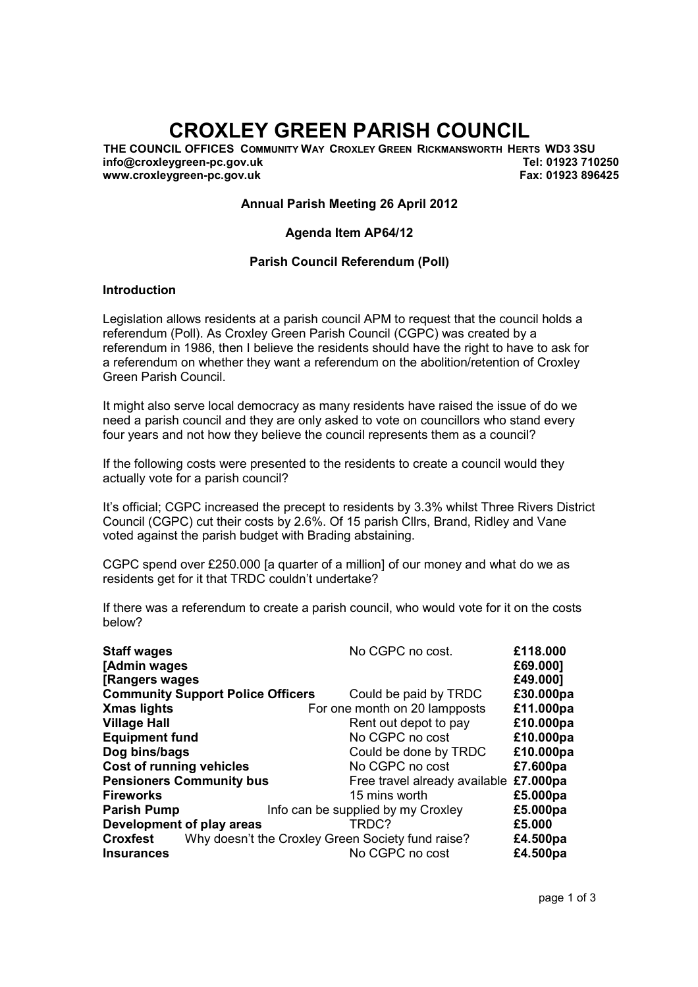# CROXLEY GREEN PARISH COUNCIL

THE COUNCIL OFFICES COMMUNITY WAY CROXLEY GREEN RICKMANSWORTH HERTS WD3 3SU info@croxleygreen-pc.gov.uk www.croxleygreen-pc.gov.uk Tel: 01923 710250 Fax: 01923 896425

#### Annual Parish Meeting 26 April 2012

#### Agenda Item AP64/12

#### Parish Council Referendum (Poll)

#### Introduction

Legislation allows residents at a parish council APM to request that the council holds a referendum (Poll). As Croxley Green Parish Council (CGPC) was created by a referendum in 1986, then I believe the residents should have the right to have to ask for a referendum on whether they want a referendum on the abolition/retention of Croxley Green Parish Council.

It might also serve local democracy as many residents have raised the issue of do we need a parish council and they are only asked to vote on councillors who stand every four years and not how they believe the council represents them as a council?

If the following costs were presented to the residents to create a council would they actually vote for a parish council?

It's official; CGPC increased the precept to residents by 3.3% whilst Three Rivers District Council (CGPC) cut their costs by 2.6%. Of 15 parish Cllrs, Brand, Ridley and Vane voted against the parish budget with Brading abstaining.

CGPC spend over £250.000 [a quarter of a million] of our money and what do we as residents get for it that TRDC couldn't undertake?

If there was a referendum to create a parish council, who would vote for it on the costs below?

| <b>Staff wages</b>                       | No CGPC no cost.                                  | £118.000  |
|------------------------------------------|---------------------------------------------------|-----------|
| [Admin wages                             |                                                   | £69.000]  |
| [Rangers wages]                          |                                                   | £49.000]  |
| <b>Community Support Police Officers</b> | Could be paid by TRDC                             | £30.000pa |
| <b>Xmas lights</b>                       | For one month on 20 lampposts                     | £11.000pa |
| <b>Village Hall</b>                      | Rent out depot to pay                             | £10.000pa |
| <b>Equipment fund</b>                    | No CGPC no cost                                   | £10.000pa |
| Dog bins/bags                            | Could be done by TRDC                             | £10.000pa |
| <b>Cost of running vehicles</b>          | No CGPC no cost                                   | £7.600pa  |
| <b>Pensioners Community bus</b>          | Free travel already available                     | £7.000pa  |
| <b>Fireworks</b>                         | 15 mins worth                                     | £5.000pa  |
| <b>Parish Pump</b>                       | Info can be supplied by my Croxley                | £5.000pa  |
| Development of play areas                | TRDC?                                             | £5.000    |
| <b>Croxfest</b>                          | Why doesn't the Croxley Green Society fund raise? | £4.500pa  |
| <b>Insurances</b>                        | No CGPC no cost                                   | £4.500pa  |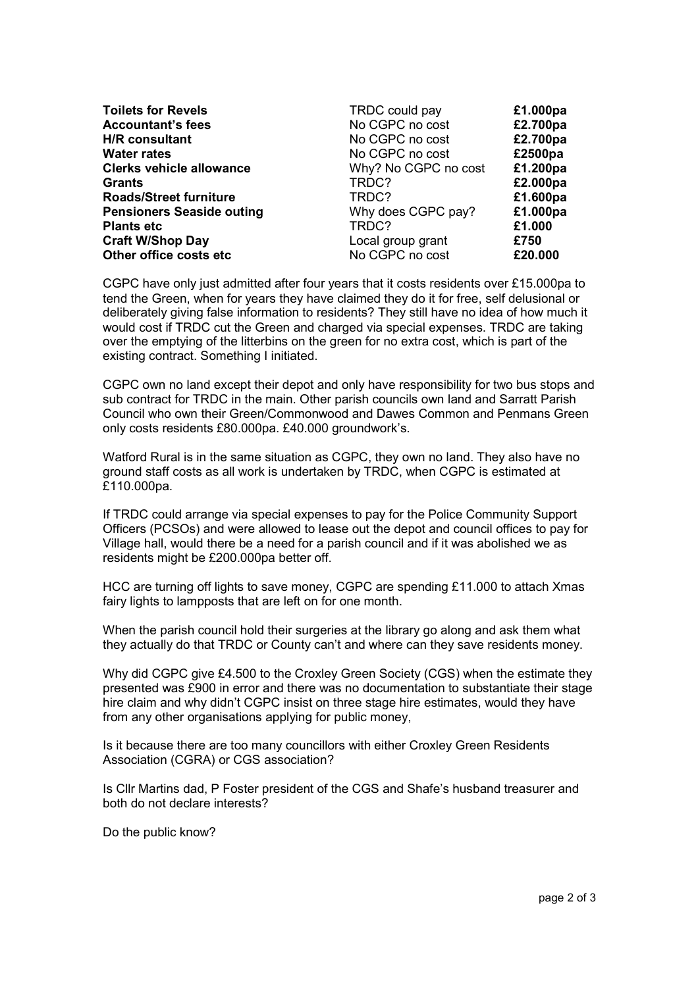| <b>Toilets for Revels</b>        | TRDC could pay       | £1.000pa |
|----------------------------------|----------------------|----------|
| <b>Accountant's fees</b>         | No CGPC no cost      | £2.700pa |
| <b>H/R</b> consultant            | No CGPC no cost      | £2.700pa |
| <b>Water rates</b>               | No CGPC no cost      | £2500pa  |
| <b>Clerks vehicle allowance</b>  | Why? No CGPC no cost | £1.200pa |
| Grants                           | TRDC?                | £2.000pa |
| <b>Roads/Street furniture</b>    | TRDC?                | £1.600pa |
| <b>Pensioners Seaside outing</b> | Why does CGPC pay?   | £1.000pa |
| <b>Plants etc</b>                | TRDC?                | £1.000   |
| <b>Craft W/Shop Day</b>          | Local group grant    | £750     |
| Other office costs etc           | No CGPC no cost      | £20.000  |

CGPC have only just admitted after four years that it costs residents over £15.000pa to tend the Green, when for years they have claimed they do it for free, self delusional or deliberately giving false information to residents? They still have no idea of how much it would cost if TRDC cut the Green and charged via special expenses. TRDC are taking over the emptying of the litterbins on the green for no extra cost, which is part of the existing contract. Something I initiated.

CGPC own no land except their depot and only have responsibility for two bus stops and sub contract for TRDC in the main. Other parish councils own land and Sarratt Parish Council who own their Green/Commonwood and Dawes Common and Penmans Green only costs residents £80.000pa. £40.000 groundwork's.

Watford Rural is in the same situation as CGPC, they own no land. They also have no ground staff costs as all work is undertaken by TRDC, when CGPC is estimated at £110.000pa.

If TRDC could arrange via special expenses to pay for the Police Community Support Officers (PCSOs) and were allowed to lease out the depot and council offices to pay for Village hall, would there be a need for a parish council and if it was abolished we as residents might be £200.000pa better off.

HCC are turning off lights to save money, CGPC are spending £11.000 to attach Xmas fairy lights to lampposts that are left on for one month.

When the parish council hold their surgeries at the library go along and ask them what they actually do that TRDC or County can't and where can they save residents money.

Why did CGPC give £4.500 to the Croxley Green Society (CGS) when the estimate they presented was £900 in error and there was no documentation to substantiate their stage hire claim and why didn't CGPC insist on three stage hire estimates, would they have from any other organisations applying for public money,

Is it because there are too many councillors with either Croxley Green Residents Association (CGRA) or CGS association?

Is Cllr Martins dad, P Foster president of the CGS and Shafe's husband treasurer and both do not declare interests?

Do the public know?